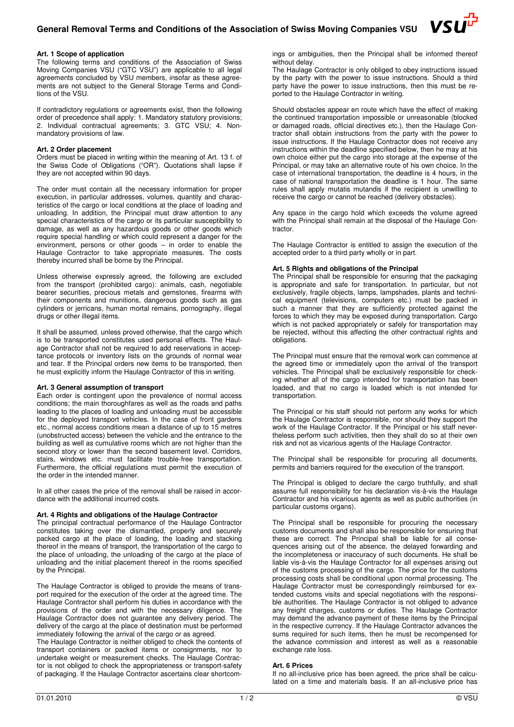# **General Removal Terms and Conditions of the Association of Swiss Moving Companies VSU**



#### **Art. 1 Scope of application**

The following terms and conditions of the Association of Swiss Moving Companies VSU ("GTC VSU") are applicable to all legal agreements concluded by VSU members, insofar as these agreements are not subject to the General Storage Terms and Conditions of the VSU.

If contradictory regulations or agreements exist, then the following order of precedence shall apply: 1. Mandatory statutory provisions; 2. Individual contractual agreements; 3. GTC VSU; 4. Nonmandatory provisions of law.

#### **Art. 2 Order placement**

Orders must be placed in writing within the meaning of Art. 13 f. of the Swiss Code of Obligations ("OR"). Quotations shall lapse if they are not accepted within 90 days.

The order must contain all the necessary information for proper execution, in particular addresses, volumes, quantity and characteristics of the cargo or local conditions at the place of loading and unloading. In addition, the Principal must draw attention to any special characteristics of the cargo or its particular susceptibility to damage, as well as any hazardous goods or other goods which require special handling or which could represent a danger for the environment, persons or other goods – in order to enable the Haulage Contractor to take appropriate measures. The costs thereby incurred shall be borne by the Principal.

Unless otherwise expressly agreed, the following are excluded from the transport (prohibited cargo): animals, cash, negotiable bearer securities, precious metals and gemstones, firearms with their components and munitions, dangerous goods such as gas cylinders or jerricans, human mortal remains, pornography, illegal drugs or other illegal items.

It shall be assumed, unless proved otherwise, that the cargo which is to be transported constitutes used personal effects. The Haulage Contractor shall not be required to add reservations in acceptance protocols or inventory lists on the grounds of normal wear and tear. If the Principal orders new items to be transported, then he must explicitly inform the Haulage Contractor of this in writing.

#### **Art. 3 General assumption of transport**

Each order is contingent upon the prevalence of normal access conditions; the main thoroughfares as well as the roads and paths leading to the places of loading and unloading must be accessible for the deployed transport vehicles. In the case of front gardens etc., normal access conditions mean a distance of up to 15 metres (unobstructed access) between the vehicle and the entrance to the building as well as cumulative rooms which are not higher than the second story or lower than the second basement level. Corridors, stairs, windows etc. must facilitate trouble-free transportation. Furthermore, the official regulations must permit the execution of the order in the intended manner.

In all other cases the price of the removal shall be raised in accordance with the additional incurred costs.

# **Art. 4 Rights and obligations of the Haulage Contractor**

The principal contractual performance of the Haulage Contractor constitutes taking over the dismantled, properly and securely packed cargo at the place of loading, the loading and stacking thereof in the means of transport, the transportation of the cargo to the place of unloading, the unloading of the cargo at the place of unloading and the initial placement thereof in the rooms specified by the Principal.

The Haulage Contractor is obliged to provide the means of transport required for the execution of the order at the agreed time. The Haulage Contractor shall perform his duties in accordance with the provisions of the order and with the necessary diligence. The Haulage Contractor does not guarantee any delivery period. The delivery of the cargo at the place of destination must be performed immediately following the arrival of the cargo or as agreed.

The Haulage Contractor is neither obliged to check the contents of transport containers or packed items or consignments, nor to undertake weight or measurement checks. The Haulage Contractor is not obliged to check the appropriateness or transport-safety of packaging. If the Haulage Contractor ascertains clear shortcom-

ings or ambiguities, then the Principal shall be informed thereof without delay.

The Haulage Contractor is only obliged to obey instructions issued by the party with the power to issue instructions. Should a third party have the power to issue instructions, then this must be reported to the Haulage Contractor in writing.

Should obstacles appear en route which have the effect of making the continued transportation impossible or unreasonable (blocked or damaged roads, official directives etc.), then the Haulage Contractor shall obtain instructions from the party with the power to issue instructions. If the Haulage Contractor does not receive any instructions within the deadline specified below, then he may at his own choice either put the cargo into storage at the expense of the Principal, or may take an alternative route of his own choice. In the case of international transportation, the deadline is 4 hours, in the case of national transportation the deadline is 1 hour. The same rules shall apply mutatis mutandis if the recipient is unwilling to receive the cargo or cannot be reached (delivery obstacles).

Any space in the cargo hold which exceeds the volume agreed with the Principal shall remain at the disposal of the Haulage Contractor.

The Haulage Contractor is entitled to assign the execution of the accepted order to a third party wholly or in part.

#### **Art. 5 Rights and obligations of the Principal**

The Principal shall be responsible for ensuring that the packaging is appropriate and safe for transportation. In particular, but not exclusively, fragile objects, lamps, lampshades, plants and technical equipment (televisions, computers etc.) must be packed in such a manner that they are sufficiently protected against the forces to which they may be exposed during transportation. Cargo which is not packed appropriately or safely for transportation may be rejected, without this affecting the other contractual rights and obligations.

The Principal must ensure that the removal work can commence at the agreed time or immediately upon the arrival of the transport vehicles. The Principal shall be exclusively responsible for checking whether all of the cargo intended for transportation has been loaded, and that no cargo is loaded which is not intended for transportation.

The Principal or his staff should not perform any works for which the Haulage Contractor is responsible, nor should they support the work of the Haulage Contractor. If the Principal or his staff nevertheless perform such activities, then they shall do so at their own risk and not as vicarious agents of the Haulage Contractor.

The Principal shall be responsible for procuring all documents, permits and barriers required for the execution of the transport.

The Principal is obliged to declare the cargo truthfully, and shall assume full responsibility for his declaration vis-à-vis the Haulage Contractor and his vicarious agents as well as public authorities (in particular customs organs).

The Principal shall be responsible for procuring the necessary customs documents and shall also be responsible for ensuring that these are correct. The Principal shall be liable for all consequences arising out of the absence, the delayed forwarding and the incompleteness or inaccuracy of such documents. He shall be liable vis-à-vis the Haulage Contractor for all expenses arising out of the customs processing of the cargo. The price for the customs processing costs shall be conditional upon normal processing. The Haulage Contractor must be correspondingly reimbursed for extended customs visits and special negotiations with the responsible authorities. The Haulage Contractor is not obliged to advance any freight charges, customs or duties. The Haulage Contractor may demand the advance payment of these items by the Principal in the respective currency. If the Haulage Contractor advances the sums required for such items, then he must be recompensed for the advance commission and interest as well as a reasonable exchange rate loss.

# **Art. 6 Prices**

If no all-inclusive price has been agreed, the price shall be calculated on a time and materials basis. If an all-inclusive price has